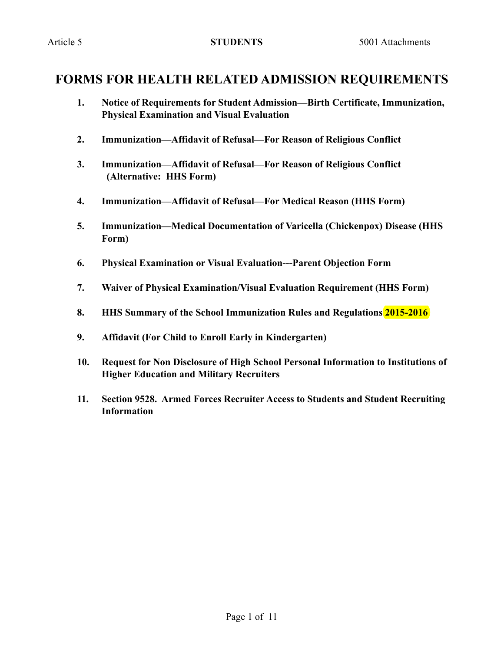## **FORMS FOR HEALTH RELATED ADMISSION REQUIREMENTS**

- **1. Notice of Requirements for Student Admission—Birth Certificate, Immunization, Physical Examination and Visual Evaluation**
- **2. Immunization—Affidavit of Refusal—For Reason of Religious Conflict**
- **3. Immunization—Affidavit of Refusal—For Reason of Religious Conflict (Alternative: HHS Form)**
- **4. Immunization—Affidavit of Refusal—For Medical Reason (HHS Form)**
- **5. Immunization—Medical Documentation of Varicella (Chickenpox) Disease (HHS Form)**
- **6. Physical Examination or Visual Evaluation---Parent Objection Form**
- **7. Waiver of Physical Examination/Visual Evaluation Requirement (HHS Form)**
- **8. HHS Summary of the School Immunization Rules and Regulations 2015-2016**
- **9. Affidavit (For Child to Enroll Early in Kindergarten)**
- **10. Request for Non Disclosure of High School Personal Information to Institutions of Higher Education and Military Recruiters**
- **11. Section 9528. Armed Forces Recruiter Access to Students and Student Recruiting Information**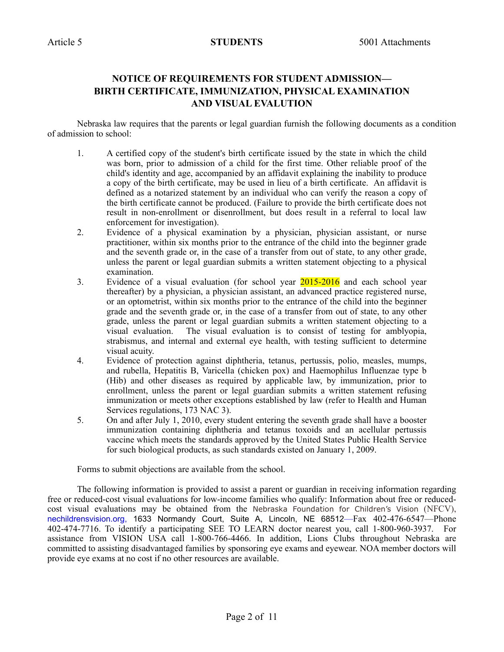## **NOTICE OF REQUIREMENTS FOR STUDENT ADMISSION— BIRTH CERTIFICATE, IMMUNIZATION, PHYSICAL EXAMINATION AND VISUAL EVALUTION**

Nebraska law requires that the parents or legal guardian furnish the following documents as a condition of admission to school:

- 1. A certified copy of the student's birth certificate issued by the state in which the child was born, prior to admission of a child for the first time. Other reliable proof of the child's identity and age, accompanied by an affidavit explaining the inability to produce a copy of the birth certificate, may be used in lieu of a birth certificate. An affidavit is defined as a notarized statement by an individual who can verify the reason a copy of the birth certificate cannot be produced. (Failure to provide the birth certificate does not result in non-enrollment or disenrollment, but does result in a referral to local law enforcement for investigation).
- 2. Evidence of a physical examination by a physician, physician assistant, or nurse practitioner, within six months prior to the entrance of the child into the beginner grade and the seventh grade or, in the case of a transfer from out of state, to any other grade, unless the parent or legal guardian submits a written statement objecting to a physical examination.
- 3. Evidence of a visual evaluation (for school year 2015-2016 and each school year thereafter) by a physician, a physician assistant, an advanced practice registered nurse, or an optometrist, within six months prior to the entrance of the child into the beginner grade and the seventh grade or, in the case of a transfer from out of state, to any other grade, unless the parent or legal guardian submits a written statement objecting to a visual evaluation. The visual evaluation is to consist of testing for amblyopia, strabismus, and internal and external eye health, with testing sufficient to determine visual acuity.
- 4. Evidence of protection against diphtheria, tetanus, pertussis, polio, measles, mumps, and rubella, Hepatitis B, Varicella (chicken pox) and Haemophilus Influenzae type b (Hib) and other diseases as required by applicable law, by immunization, prior to enrollment, unless the parent or legal guardian submits a written statement refusing immunization or meets other exceptions established by law (refer to Health and Human Services regulations, 173 NAC 3).
- 5. On and after July 1, 2010, every student entering the seventh grade shall have a booster immunization containing diphtheria and tetanus toxoids and an acellular pertussis vaccine which meets the standards approved by the United States Public Health Service for such biological products, as such standards existed on January 1, 2009.

Forms to submit objections are available from the school.

The following information is provided to assist a parent or guardian in receiving information regarding free or reduced-cost visual evaluations for low-income families who qualify: Information about free or reducedcost visual evaluations may be obtained from the Nebraska Foundation for Children's Vision (NFCV), nechildrensvision.org, 1633 Normandy Court, Suite A, Lincoln, NE 68512—Fax 402-476-6547—Phone 402-474-7716. To identify a participating SEE TO LEARN doctor nearest you, call 1-800-960-3937. For assistance from VISION USA call 1-800-766-4466. In addition, Lions Clubs throughout Nebraska are committed to assisting disadvantaged families by sponsoring eye exams and eyewear. NOA member doctors will provide eye exams at no cost if no other resources are available.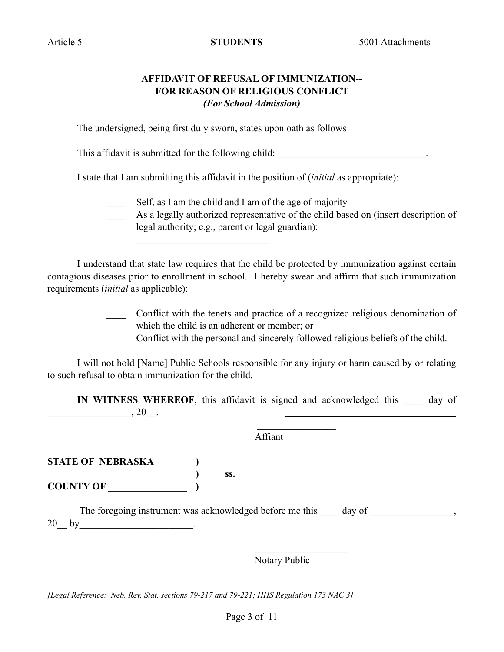## **AFFIDAVIT OF REFUSAL OF IMMUNIZATION-- FOR REASON OF RELIGIOUS CONFLICT** *(For School Admission)*

The undersigned, being first duly sworn, states upon oath as follows

 $\mathcal{L}_\text{max}$ 

This affidavit is submitted for the following child:

I state that I am submitting this affidavit in the position of (*initial* as appropriate):

Self, as I am the child and I am of the age of majority

\_\_\_\_ As a legally authorized representative of the child based on (insert description of legal authority; e.g., parent or legal guardian):

I understand that state law requires that the child be protected by immunization against certain contagious diseases prior to enrollment in school. I hereby swear and affirm that such immunization requirements (*initial* as applicable):

> \_\_\_\_ Conflict with the tenets and practice of a recognized religious denomination of which the child is an adherent or member; or

Conflict with the personal and sincerely followed religious beliefs of the child.

I will not hold [Name] Public Schools responsible for any injury or harm caused by or relating to such refusal to obtain immunization for the child.

**IN WITNESS WHEREOF**, this affidavit is signed and acknowledged this day of  $\frac{1}{20}$ , 20<sub>\_</sub>.

Affiant

**STATE OF NEBRASKA )**

 **) ss. COUNTY OF \_\_\_\_\_\_\_\_\_\_\_\_\_\_\_\_ )**

The foregoing instrument was acknowledged before me this day of  $\qquad \qquad$ ,  $20\_$  by  $\qquad \qquad$ 

Notary Public

*[Legal Reference: Neb. Rev. Stat. sections 79-217 and 79-221; HHS Regulation 173 NAC 3]*

 $\mathcal{L}_\text{max}$  and  $\mathcal{L}_\text{max}$  are the set of the set of the set of the set of the set of the set of the set of the set of the set of the set of the set of the set of the set of the set of the set of the set of the set o

 $\mathcal{L}_\text{max}$  and  $\mathcal{L}_\text{max}$  and  $\mathcal{L}_\text{max}$  and  $\mathcal{L}_\text{max}$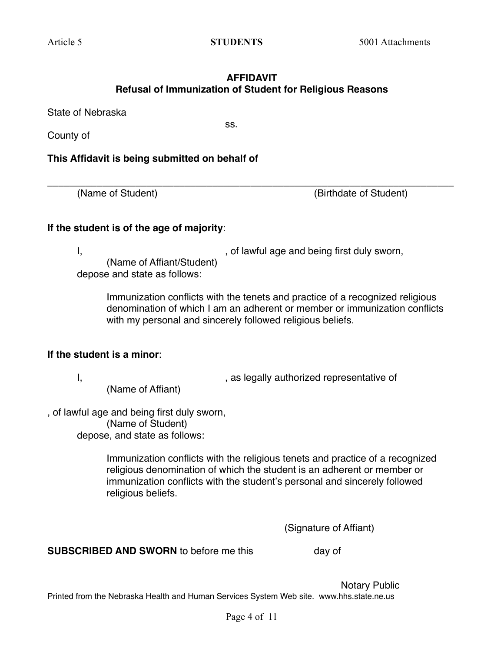ss.

## **AFFIDAVIT Refusal of Immunization of Student for Religious Reasons**

**\_\_\_\_\_\_\_\_\_\_\_\_\_\_\_\_\_\_\_\_\_\_\_\_\_\_\_\_\_\_\_\_\_\_\_\_\_\_\_\_\_\_\_\_\_\_\_\_\_\_\_\_\_\_\_\_\_\_\_\_\_\_\_\_\_\_\_\_\_\_\_\_\_\_**

State of Nebraska

County of

**This Affidavit is being submitted on behalf of** 

(Name of Student) (Birthdate of Student)

## **If the student is of the age of majority**:

I, the same contract of lawful age and being first duly sworn, (Name of Affiant/Student) depose and state as follows:

Immunization conflicts with the tenets and practice of a recognized religious denomination of which I am an adherent or member or immunization conflicts with my personal and sincerely followed religious beliefs.

## **If the student is a minor**:

(Name of Affiant)

I, the contract of the state of the state of the state of the state of the state of the state of the state of

, of lawful age and being first duly sworn, (Name of Student) depose, and state as follows:

> Immunization conflicts with the religious tenets and practice of a recognized religious denomination of which the student is an adherent or member or immunization conflicts with the student's personal and sincerely followed religious beliefs.

> > (Signature of Affiant)

**SUBSCRIBED AND SWORN** to before me this day of

Notary Public Printed from the Nebraska Health and Human Services System Web site. www.hhs.state.ne.us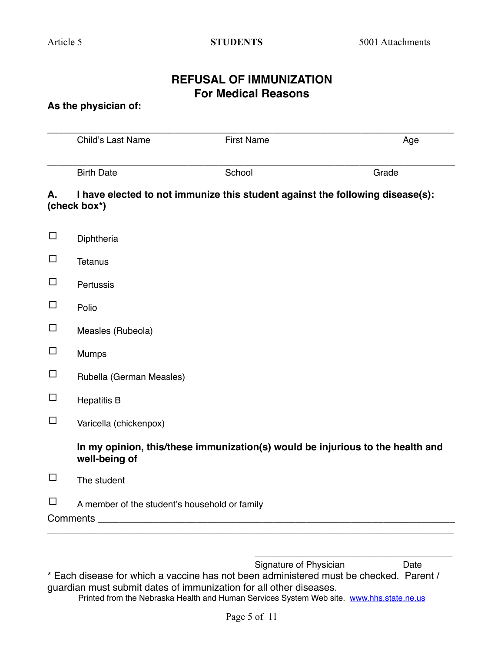## **REFUSAL OF IMMUNIZATION For Medical Reasons**

## **As the physician of:**

|        | Child's Last Name                                                                               | <b>First Name</b> | Age   |  |  |  |
|--------|-------------------------------------------------------------------------------------------------|-------------------|-------|--|--|--|
|        | <b>Birth Date</b>                                                                               | School            | Grade |  |  |  |
| А.     | I have elected to not immunize this student against the following disease(s):<br>(check box*)   |                   |       |  |  |  |
| $\Box$ | Diphtheria                                                                                      |                   |       |  |  |  |
| $\Box$ | <b>Tetanus</b>                                                                                  |                   |       |  |  |  |
| $\Box$ | Pertussis                                                                                       |                   |       |  |  |  |
| $\Box$ | Polio                                                                                           |                   |       |  |  |  |
| $\Box$ | Measles (Rubeola)                                                                               |                   |       |  |  |  |
| $\Box$ | Mumps                                                                                           |                   |       |  |  |  |
| $\Box$ | Rubella (German Measles)                                                                        |                   |       |  |  |  |
| $\Box$ | <b>Hepatitis B</b>                                                                              |                   |       |  |  |  |
| $\Box$ | Varicella (chickenpox)                                                                          |                   |       |  |  |  |
|        | In my opinion, this/these immunization(s) would be injurious to the health and<br>well-being of |                   |       |  |  |  |
| $\Box$ | The student                                                                                     |                   |       |  |  |  |
| □      | A member of the student's household or family                                                   |                   |       |  |  |  |

Signature of Physician **Date** \* Each disease for which a vaccine has not been administered must be checked. Parent / guardian must submit dates of immunization for all other diseases.

\_\_\_\_\_\_\_\_\_\_\_\_\_\_\_\_\_\_\_\_\_\_\_\_\_\_\_\_\_\_\_\_\_\_\_\_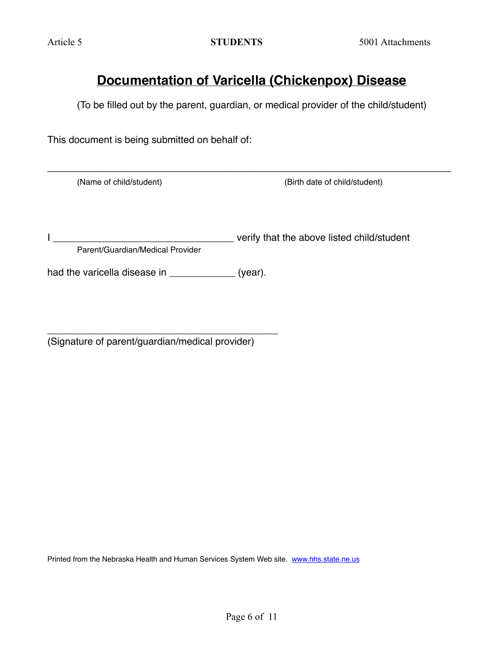# **Documentation of Varicella (Chickenpox) Disease**

(To be filled out by the parent, guardian, or medical provider of the child/student)

\_\_\_\_\_\_\_\_\_\_\_\_\_\_\_\_\_\_\_\_\_\_\_\_\_\_\_\_\_\_\_\_\_\_\_\_\_\_\_\_\_\_\_\_\_\_\_\_\_\_\_\_\_\_\_\_\_\_\_\_\_\_\_

This document is being submitted on behalf of:

(Name of child/student) (Birth date of child/student)

I \_\_\_\_\_\_\_\_\_\_\_\_\_\_\_\_\_\_\_\_\_\_\_\_\_\_\_\_\_\_\_\_\_ verify that the above listed child/student Parent/Guardian/Medical Provider

had the varicella disease in \_\_\_\_\_\_\_\_\_\_\_\_\_ (year).

\_\_\_\_\_\_\_\_\_\_\_\_\_\_\_\_\_\_\_\_\_\_\_\_\_\_\_\_\_\_\_\_\_\_\_\_\_\_\_\_\_\_ (Signature of parent/guardian/medical provider)

Printed from the Nebraska Health and Human Services System Web site. [www.hhs.state.ne.us](http://www.hhs.state.ne.us)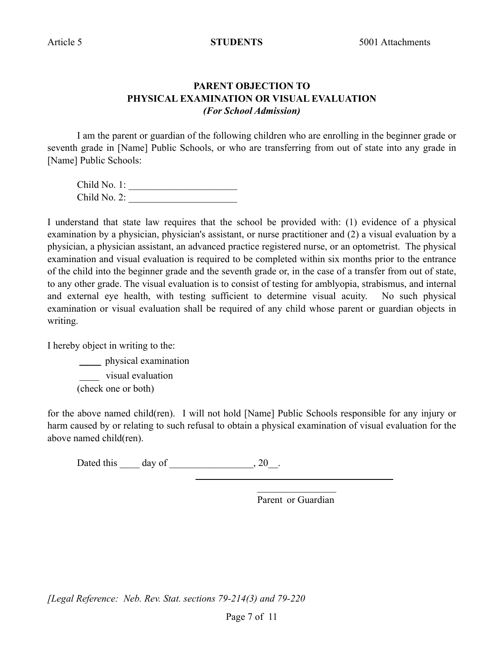## **PARENT OBJECTION TO PHYSICAL EXAMINATION OR VISUAL EVALUATION** *(For School Admission)*

I am the parent or guardian of the following children who are enrolling in the beginner grade or seventh grade in [Name] Public Schools, or who are transferring from out of state into any grade in [Name] Public Schools:

| Child No. 1: |  |
|--------------|--|
| Child No. 2: |  |

I understand that state law requires that the school be provided with: (1) evidence of a physical examination by a physician, physician's assistant, or nurse practitioner and (2) a visual evaluation by a physician, a physician assistant, an advanced practice registered nurse, or an optometrist. The physical examination and visual evaluation is required to be completed within six months prior to the entrance of the child into the beginner grade and the seventh grade or, in the case of a transfer from out of state, to any other grade. The visual evaluation is to consist of testing for amblyopia, strabismus, and internal and external eye health, with testing sufficient to determine visual acuity. No such physical examination or visual evaluation shall be required of any child whose parent or guardian objects in writing.

I hereby object in writing to the:

\_\_\_\_ physical examination visual evaluation (check one or both)

for the above named child(ren). I will not hold [Name] Public Schools responsible for any injury or harm caused by or relating to such refusal to obtain a physical examination of visual evaluation for the above named child(ren).

Dated this \_\_\_\_\_ day of \_\_\_\_\_\_\_\_\_\_\_\_\_\_\_, 20\_\_.

 $\mathcal{L}_\text{max}$  and  $\mathcal{L}_\text{max}$  and  $\mathcal{L}_\text{max}$  and  $\mathcal{L}_\text{max}$ 

Parent or Guardian

*[Legal Reference: Neb. Rev. Stat. sections 79-214(3) and 79-220*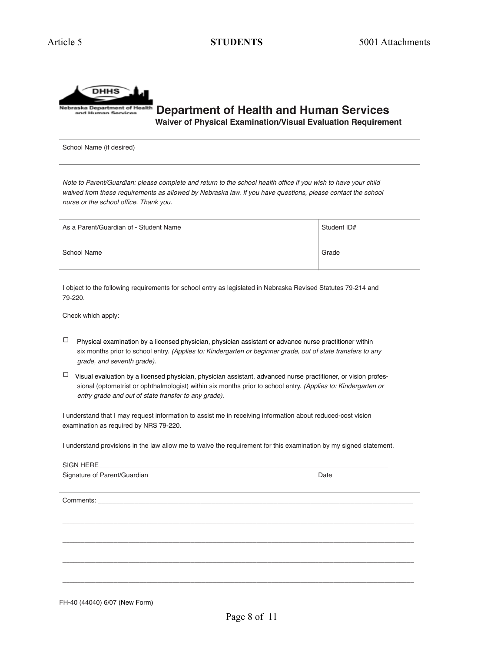

 **Department of Health and Human Services Waiver of Physical Examination/Visual Evaluation Requirement**

School Name (if desired)

*Note to Parent/Guardian: please complete and return to the school health office if you wish to have your child*  waived from these requirements as allowed by Nebraska law. If you have questions, please contact the school *nurse or the school office. Thank you.* 

| As a Parent/Guardian of - Student Name | Student ID# |
|----------------------------------------|-------------|
| School Name                            | Grade       |

I object to the following requirements for school entry as legislated in Nebraska Revised Statutes 79-214 and 79-220.

Check which apply:

- $\Box$  Physical examination by a licensed physician, physician assistant or advance nurse practitioner within six months prior to school entry. *(Applies to: Kindergarten or beginner grade, out of state transfers to any grade, and seventh grade).*
- $\Box$  Visual evaluation by a licensed physician, physician assistant, advanced nurse practitioner, or vision profes sional (optometrist or ophthalmologist) within six months prior to school entry. *(Applies to: Kindergarten or entry grade and out of state transfer to any grade).*

I understand that I may request information to assist me in receiving information about reduced-cost vision examination as required by NRS 79-220.

I understand provisions in the law allow me to waive the requirement for this examination by my signed statement.

| Signature of Parent/Guardian                                                                                    | Date |  |  |  |
|-----------------------------------------------------------------------------------------------------------------|------|--|--|--|
|                                                                                                                 |      |  |  |  |
| the contract of the contract of the contract of the contract of the contract of the contract of the contract of |      |  |  |  |
|                                                                                                                 |      |  |  |  |
|                                                                                                                 |      |  |  |  |
|                                                                                                                 |      |  |  |  |
|                                                                                                                 |      |  |  |  |
|                                                                                                                 |      |  |  |  |
|                                                                                                                 |      |  |  |  |
|                                                                                                                 |      |  |  |  |
|                                                                                                                 |      |  |  |  |
|                                                                                                                 |      |  |  |  |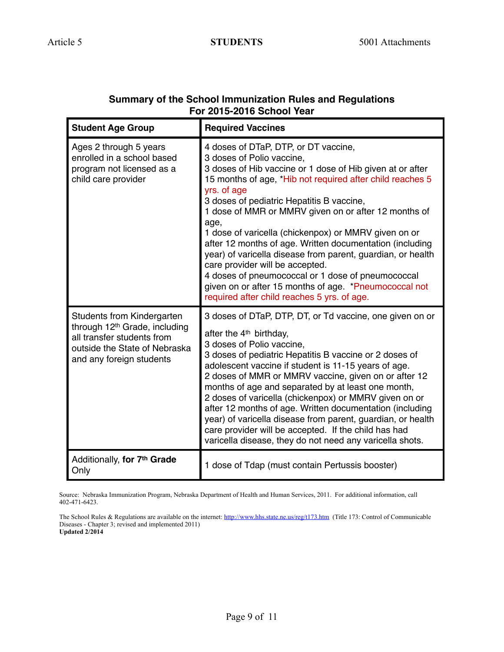| <b>Student Age Group</b>                                                                                                                                                  | <b>Required Vaccines</b>                                                                                                                                                                                                                                                                                                                                                                                                                                                                                                                                                                                                                                                                                   |
|---------------------------------------------------------------------------------------------------------------------------------------------------------------------------|------------------------------------------------------------------------------------------------------------------------------------------------------------------------------------------------------------------------------------------------------------------------------------------------------------------------------------------------------------------------------------------------------------------------------------------------------------------------------------------------------------------------------------------------------------------------------------------------------------------------------------------------------------------------------------------------------------|
| Ages 2 through 5 years<br>enrolled in a school based<br>program not licensed as a<br>child care provider                                                                  | 4 doses of DTaP, DTP, or DT vaccine,<br>3 doses of Polio vaccine,<br>3 doses of Hib vaccine or 1 dose of Hib given at or after<br>15 months of age, *Hib not required after child reaches 5<br>yrs. of age<br>3 doses of pediatric Hepatitis B vaccine,<br>1 dose of MMR or MMRV given on or after 12 months of<br>age,<br>1 dose of varicella (chickenpox) or MMRV given on or<br>after 12 months of age. Written documentation (including<br>year) of varicella disease from parent, guardian, or health<br>care provider will be accepted.<br>4 doses of pneumococcal or 1 dose of pneumococcal<br>given on or after 15 months of age. *Pneumococcal not<br>required after child reaches 5 yrs. of age. |
| <b>Students from Kindergarten</b><br>through 12 <sup>th</sup> Grade, including<br>all transfer students from<br>outside the State of Nebraska<br>and any foreign students | 3 doses of DTaP, DTP, DT, or Td vaccine, one given on or<br>after the 4 <sup>th</sup> birthday,<br>3 doses of Polio vaccine,<br>3 doses of pediatric Hepatitis B vaccine or 2 doses of<br>adolescent vaccine if student is 11-15 years of age.<br>2 doses of MMR or MMRV vaccine, given on or after 12<br>months of age and separated by at least one month,<br>2 doses of varicella (chickenpox) or MMRV given on or<br>after 12 months of age. Written documentation (including<br>year) of varicella disease from parent, guardian, or health<br>care provider will be accepted. If the child has had<br>varicella disease, they do not need any varicella shots.                                       |
| Additionally, for 7th Grade<br>Only                                                                                                                                       | 1 dose of Tdap (must contain Pertussis booster)                                                                                                                                                                                                                                                                                                                                                                                                                                                                                                                                                                                                                                                            |

## **Summary of the School Immunization Rules and Regulations For 2015-2016 School Year**

Source: Nebraska Immunization Program, Nebraska Department of Health and Human Services, 2011. For additional information, call 402-471-6423.

The School Rules & Regulations are available on the internet:<http://www.hhs.state.ne.us/reg/t173.htm> (Title 173: Control of Communicable Diseases - Chapter 3; revised and implemented 2011) **Updated 2/2014**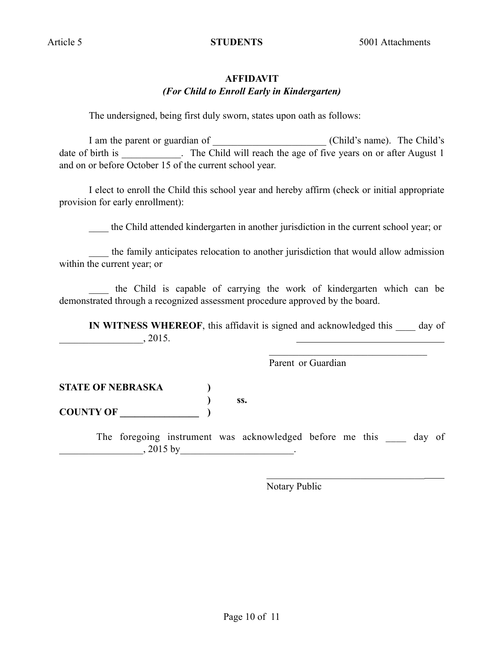## **AFFIDAVIT** *(For Child to Enroll Early in Kindergarten)*

The undersigned, being first duly sworn, states upon oath as follows:

I am the parent or guardian of \_\_\_\_\_\_\_\_\_\_\_\_\_\_\_\_\_\_\_\_\_\_\_ (Child's name). The Child's date of birth is \_\_\_\_\_\_\_\_\_\_. The Child will reach the age of five years on or after August 1 and on or before October 15 of the current school year.

I elect to enroll the Child this school year and hereby affirm (check or initial appropriate provision for early enrollment):

\_\_\_\_ the Child attended kindergarten in another jurisdiction in the current school year; or

the family anticipates relocation to another jurisdiction that would allow admission within the current year; or

\_\_\_\_ the Child is capable of carrying the work of kindergarten which can be demonstrated through a recognized assessment procedure approved by the board.

 $\mathcal{L}_\text{max}$  and the contract of the contract of the contract of the contract of the contract of the contract of the contract of the contract of the contract of the contract of the contract of the contract of the contrac

**IN WITNESS WHEREOF**, this affidavit is signed and acknowledged this day of  $, 2015.$ 

Parent or Guardian

**STATE OF NEBRASKA ) ) ss.**

**COUNTY OF \_\_\_\_\_\_\_\_\_\_\_\_\_\_\_\_ )**

The foregoing instrument was acknowledged before me this day of  $, 2015$  by

 $\mathcal{L}_\text{max}$  and the contract of the contract of the contract of the contract of the contract of the contract of

Notary Public